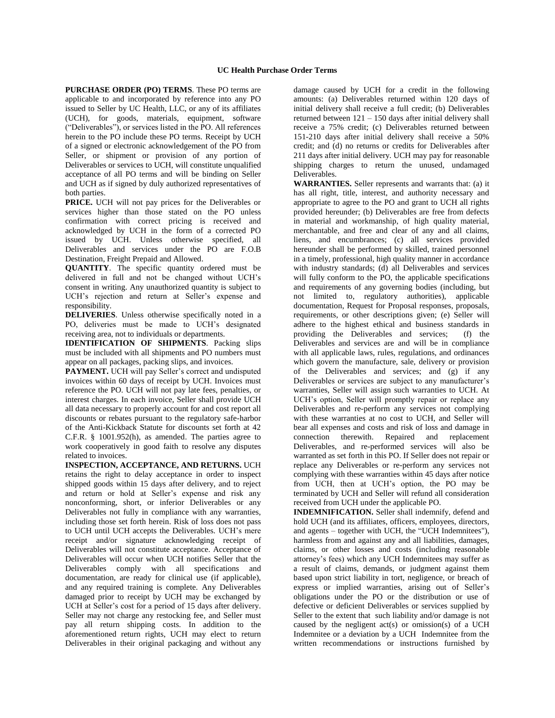**PURCHASE ORDER (PO) TERMS**. These PO terms are applicable to and incorporated by reference into any PO issued to Seller by UC Health, LLC, or any of its affiliates (UCH), for goods, materials, equipment, software ("Deliverables"), or services listed in the PO. All references herein to the PO include these PO terms. Receipt by UCH of a signed or electronic acknowledgement of the PO from Seller, or shipment or provision of any portion of Deliverables or services to UCH, will constitute unqualified acceptance of all PO terms and will be binding on Seller and UCH as if signed by duly authorized representatives of both parties.

**PRICE.** UCH will not pay prices for the Deliverables or services higher than those stated on the PO unless confirmation with correct pricing is received and acknowledged by UCH in the form of a corrected PO issued by UCH. Unless otherwise specified, all Deliverables and services under the PO are F.O.B Destination, Freight Prepaid and Allowed.

**QUANTITY**. The specific quantity ordered must be delivered in full and not be changed without UCH's consent in writing. Any unauthorized quantity is subject to UCH's rejection and return at Seller's expense and responsibility.

**DELIVERIES**. Unless otherwise specifically noted in a PO, deliveries must be made to UCH's designated receiving area, not to individuals or departments.

**IDENTIFICATION OF SHIPMENTS**. Packing slips must be included with all shipments and PO numbers must appear on all packages, packing slips, and invoices.

**PAYMENT.** UCH will pay Seller's correct and undisputed invoices within 60 days of receipt by UCH. Invoices must reference the PO. UCH will not pay late fees, penalties, or interest charges. In each invoice, Seller shall provide UCH all data necessary to properly account for and cost report all discounts or rebates pursuant to the regulatory safe-harbor of the Anti-Kickback Statute for discounts set forth at 42 C.F.R. § 1001.952(h), as amended. The parties agree to work cooperatively in good faith to resolve any disputes related to invoices.

**INSPECTION, ACCEPTANCE, AND RETURNS.** UCH retains the right to delay acceptance in order to inspect shipped goods within 15 days after delivery, and to reject and return or hold at Seller's expense and risk any nonconforming, short, or inferior Deliverables or any Deliverables not fully in compliance with any warranties, including those set forth herein. Risk of loss does not pass to UCH until UCH accepts the Deliverables. UCH's mere receipt and/or signature acknowledging receipt of Deliverables will not constitute acceptance. Acceptance of Deliverables will occur when UCH notifies Seller that the Deliverables comply with all specifications and documentation, are ready for clinical use (if applicable), and any required training is complete. Any Deliverables damaged prior to receipt by UCH may be exchanged by UCH at Seller's cost for a period of 15 days after delivery. Seller may not charge any restocking fee, and Seller must pay all return shipping costs. In addition to the aforementioned return rights, UCH may elect to return Deliverables in their original packaging and without any

damage caused by UCH for a credit in the following amounts: (a) Deliverables returned within 120 days of initial delivery shall receive a full credit; (b) Deliverables returned between 121 – 150 days after initial delivery shall receive a 75% credit; (c) Deliverables returned between 151-210 days after initial delivery shall receive a 50% credit; and (d) no returns or credits for Deliverables after 211 days after initial delivery. UCH may pay for reasonable shipping charges to return the unused, undamaged Deliverables.

**WARRANTIES.** Seller represents and warrants that: (a) it has all right, title, interest, and authority necessary and appropriate to agree to the PO and grant to UCH all rights provided hereunder; (b) Deliverables are free from defects in material and workmanship, of high quality material, merchantable, and free and clear of any and all claims, liens, and encumbrances; (c) all services provided hereunder shall be performed by skilled, trained personnel in a timely, professional, high quality manner in accordance with industry standards; (d) all Deliverables and services will fully conform to the PO, the applicable specifications and requirements of any governing bodies (including, but not limited to, regulatory authorities), applicable documentation, Request for Proposal responses, proposals, requirements, or other descriptions given; (e) Seller will adhere to the highest ethical and business standards in providing the Deliverables and services; (f) the Deliverables and services are and will be in compliance with all applicable laws, rules, regulations, and ordinances which govern the manufacture, sale, delivery or provision of the Deliverables and services; and (g) if any Deliverables or services are subject to any manufacturer's warranties, Seller will assign such warranties to UCH. At UCH's option, Seller will promptly repair or replace any Deliverables and re-perform any services not complying with these warranties at no cost to UCH, and Seller will bear all expenses and costs and risk of loss and damage in connection therewith. Repaired and replacement Deliverables, and re-performed services will also be warranted as set forth in this PO. If Seller does not repair or replace any Deliverables or re-perform any services not complying with these warranties within 45 days after notice from UCH, then at UCH's option, the PO may be terminated by UCH and Seller will refund all consideration received from UCH under the applicable PO.

**INDEMNIFICATION.** Seller shall indemnify, defend and hold UCH (and its affiliates, officers, employees, directors, and agents – together with UCH, the "UCH Indemnitees"), harmless from and against any and all liabilities, damages, claims, or other losses and costs (including reasonable attorney's fees) which any UCH Indemnitees may suffer as a result of claims, demands, or judgment against them based upon strict liability in tort, negligence, or breach of express or implied warranties, arising out of Seller's obligations under the PO or the distribution or use of defective or deficient Deliverables or services supplied by Seller to the extent that such liability and/or damage is not caused by the negligent act(s) or omission(s) of a UCH Indemnitee or a deviation by a UCH Indemnitee from the written recommendations or instructions furnished by